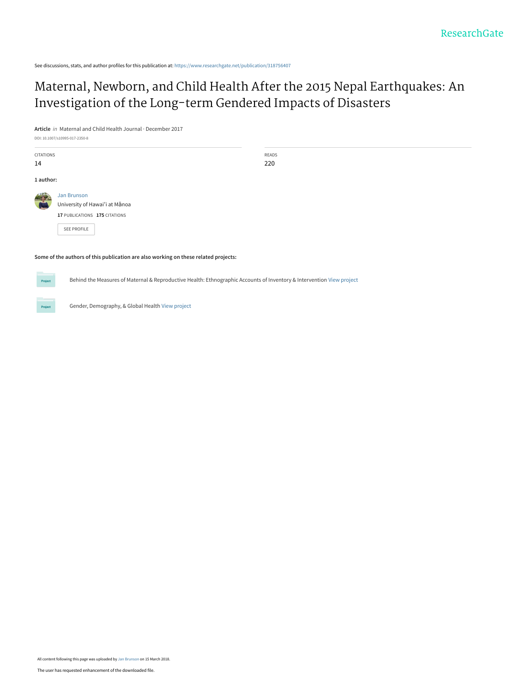See discussions, stats, and author profiles for this publication at: [https://www.researchgate.net/publication/318756407](https://www.researchgate.net/publication/318756407_Maternal_Newborn_and_Child_Health_After_the_2015_Nepal_Earthquakes_An_Investigation_of_the_Long-term_Gendered_Impacts_of_Disasters?enrichId=rgreq-0e938b5876858ed4ae1bb26e5b1be6dd-XXX&enrichSource=Y292ZXJQYWdlOzMxODc1NjQwNztBUzo2MDQyNDAxMTIyNTQ5NzhAMTUyMTA3MzQ3NzQ1NQ%3D%3D&el=1_x_2&_esc=publicationCoverPdf)

#### [Maternal, Newborn, and Child Health After the 2015 Nepal Earthquakes: An](https://www.researchgate.net/publication/318756407_Maternal_Newborn_and_Child_Health_After_the_2015_Nepal_Earthquakes_An_Investigation_of_the_Long-term_Gendered_Impacts_of_Disasters?enrichId=rgreq-0e938b5876858ed4ae1bb26e5b1be6dd-XXX&enrichSource=Y292ZXJQYWdlOzMxODc1NjQwNztBUzo2MDQyNDAxMTIyNTQ5NzhAMTUyMTA3MzQ3NzQ1NQ%3D%3D&el=1_x_3&_esc=publicationCoverPdf) Investigation of the Long-term Gendered Impacts of Disasters

**Article** in Maternal and Child Health Journal · December 2017

DOI: 10.1007/s10995-017-2350-8

| <b>CITATIONS</b><br>14 |                                                                                       | <b>READS</b><br>220 |
|------------------------|---------------------------------------------------------------------------------------|---------------------|
| 1 author:              |                                                                                       |                     |
|                        | <b>Jan Brunson</b><br>University of Hawai'i at Mānoa<br>17 PUBLICATIONS 175 CITATIONS |                     |
|                        | <b>SEE PROFILE</b>                                                                    |                     |

**Some of the authors of this publication are also working on these related projects:**

Behind the Measures of Maternal & Reproductive Health: Ethnographic Accounts of Inventory & Intervention [View project](https://www.researchgate.net/project/Behind-the-Measures-of-Maternal-Reproductive-Health-Ethnographic-Accounts-of-Inventory-Intervention?enrichId=rgreq-0e938b5876858ed4ae1bb26e5b1be6dd-XXX&enrichSource=Y292ZXJQYWdlOzMxODc1NjQwNztBUzo2MDQyNDAxMTIyNTQ5NzhAMTUyMTA3MzQ3NzQ1NQ%3D%3D&el=1_x_9&_esc=publicationCoverPdf)



Project

Gender, Demography, & Global Health [View project](https://www.researchgate.net/project/Gender-Demography-Global-Health?enrichId=rgreq-0e938b5876858ed4ae1bb26e5b1be6dd-XXX&enrichSource=Y292ZXJQYWdlOzMxODc1NjQwNztBUzo2MDQyNDAxMTIyNTQ5NzhAMTUyMTA3MzQ3NzQ1NQ%3D%3D&el=1_x_9&_esc=publicationCoverPdf)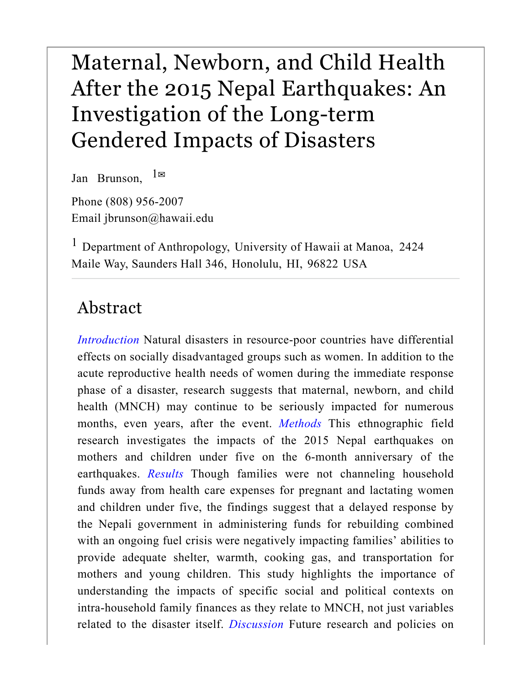# Maternal, Newborn, and Child Health After the 2015 Nepal Earthquakes: An Investigation of the Long-term Gendered Impacts of Disasters

Jan Brunson,  $1 \boxtimes$ 

Phone (808) 956-2007 Email jbrunson@hawaii.edu

<sup>1</sup> Department of Anthropology, University of Hawaii at Manoa, 2424 Maile Way, Saunders Hall 346, Honolulu, HI, 96822 USA

### Abstract

*Introduction* Natural disasters in resource-poor countries have differential effects on socially disadvantaged groups such as women. In addition to the acute reproductive health needs of women during the immediate response phase of a disaster, research suggests that maternal, newborn, and child health (MNCH) may continue to be seriously impacted for numerous months, even years, after the event. *Methods* This ethnographic field research investigates the impacts of the 2015 Nepal earthquakes on mothers and children under five on the 6-month anniversary of the earthquakes. *Results* Though families were not channeling household funds away from health care expenses for pregnant and lactating women and children under five, the findings suggest that a delayed response by the Nepali government in administering funds for rebuilding combined with an ongoing fuel crisis were negatively impacting families' abilities to provide adequate shelter, warmth, cooking gas, and transportation for mothers and young children. This study highlights the importance of understanding the impacts of specific social and political contexts on intra-household family finances as they relate to MNCH, not just variables related to the disaster itself. *Discussion* Future research and policies on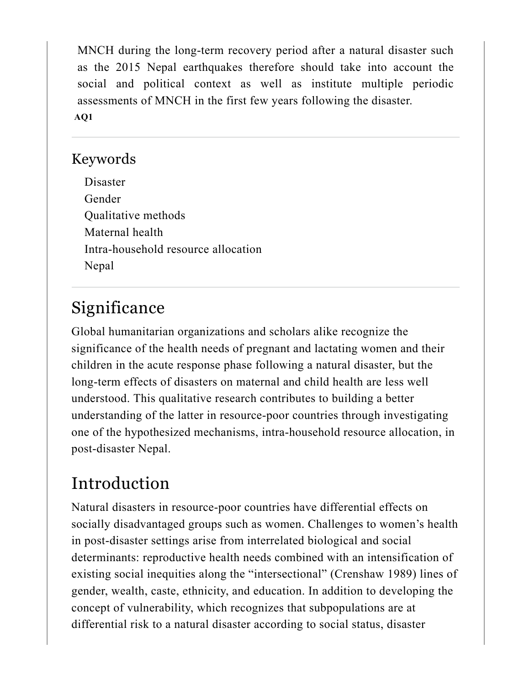MNCH during the long-term recovery period after a natural disaster such as the 2015 Nepal earthquakes therefore should take into account the social and political context as well as institute multiple periodic assessments of MNCH in the first few years following the disaster. **AQ1**

#### Keywords

Disaster Gender Qualitative methods Maternal health Intra-household resource allocation Nepal

# Significance

Global humanitarian organizations and scholars alike recognize the significance of the health needs of pregnant and lactating women and their children in the acute response phase following a natural disaster, but the long-term effects of disasters on maternal and child health are less well understood. This qualitative research contributes to building a better understanding of the latter in resource-poor countries through investigating one of the hypothesized mechanisms, intra-household resource allocation, in post-disaster Nepal.

# Introduction

Natural disasters in resource-poor countries have differential effects on socially disadvantaged groups such as women. Challenges to women's health in post-disaster settings arise from interrelated biological and social determinants: reproductive health needs combined with an intensification of existing social inequities along the "intersectional" (Crenshaw 1989) lines of gender, wealth, caste, ethnicity, and education. In addition to developing the concept of vulnerability, which recognizes that subpopulations are at differential risk to a natural disaster according to social status, disaster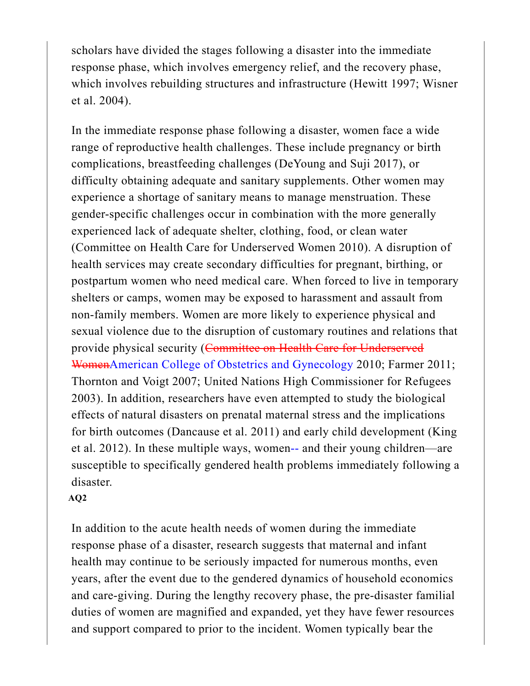scholars have divided the stages following a disaster into the immediate response phase, which involves emergency relief, and the recovery phase, which involves rebuilding structures and infrastructure (Hewitt 1997; Wisner et al. 2004).

In the immediate response phase following a disaster, women face a wide range of reproductive health challenges. These include pregnancy or birth complications, breastfeeding challenges (DeYoung and Suji 2017), or difficulty obtaining adequate and sanitary supplements. Other women may experience a shortage of sanitary means to manage menstruation. These gender-specific challenges occur in combination with the more generally experienced lack of adequate shelter, clothing, food, or clean water (Committee on Health Care for Underserved Women 2010). A disruption of health services may create secondary difficulties for pregnant, birthing, or postpartum women who need medical care. When forced to live in temporary shelters or camps, women may be exposed to harassment and assault from non-family members. Women are more likely to experience physical and sexual violence due to the disruption of customary routines and relations that provide physical security (Committee on Health Care for Underserved WomenAmerican College of Obstetrics and Gynecology 2010; Farmer 2011; Thornton and Voigt 2007; United Nations High Commissioner for Refugees 2003). In addition, researchers have even attempted to study the biological effects of natural disasters on prenatal maternal stress and the implications for birth outcomes (Dancause et al. 2011) and early child development (King et al. 2012). In these multiple ways, women-- and their young children—are susceptible to specifically gendered health problems immediately following a disaster.

#### **AQ2**

In addition to the acute health needs of women during the immediate response phase of a disaster, research suggests that maternal and infant health may continue to be seriously impacted for numerous months, even years, after the event due to the gendered dynamics of household economics and care-giving. During the lengthy recovery phase, the pre-disaster familial duties of women are magnified and expanded, yet they have fewer resources and support compared to prior to the incident. Women typically bear the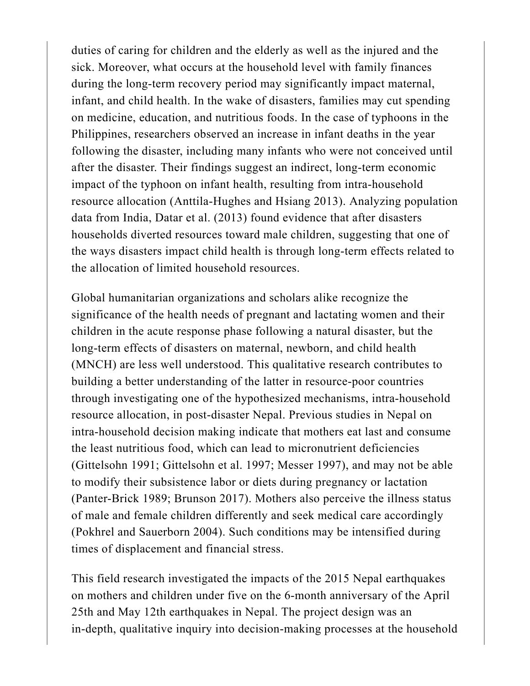duties of caring for children and the elderly as well as the injured and the sick. Moreover, what occurs at the household level with family finances during the long-term recovery period may significantly impact maternal, infant, and child health. In the wake of disasters, families may cut spending on medicine, education, and nutritious foods. In the case of typhoons in the Philippines, researchers observed an increase in infant deaths in the year following the disaster, including many infants who were not conceived until after the disaster. Their findings suggest an indirect, long-term economic impact of the typhoon on infant health, resulting from intra-household resource allocation (Anttila-Hughes and Hsiang 2013). Analyzing population data from India, Datar et al. (2013) found evidence that after disasters households diverted resources toward male children, suggesting that one of the ways disasters impact child health is through long-term effects related to the allocation of limited household resources.

Global humanitarian organizations and scholars alike recognize the significance of the health needs of pregnant and lactating women and their children in the acute response phase following a natural disaster, but the long-term effects of disasters on maternal, newborn, and child health (MNCH) are less well understood. This qualitative research contributes to building a better understanding of the latter in resource-poor countries through investigating one of the hypothesized mechanisms, intra-household resource allocation, in post-disaster Nepal. Previous studies in Nepal on intra-household decision making indicate that mothers eat last and consume the least nutritious food, which can lead to micronutrient deficiencies (Gittelsohn 1991; Gittelsohn et al. 1997; Messer 1997), and may not be able to modify their subsistence labor or diets during pregnancy or lactation (Panter-Brick 1989; Brunson 2017). Mothers also perceive the illness status of male and female children differently and seek medical care accordingly (Pokhrel and Sauerborn 2004). Such conditions may be intensified during times of displacement and financial stress.

This field research investigated the impacts of the 2015 Nepal earthquakes on mothers and children under five on the 6-month anniversary of the April 25th and May 12th earthquakes in Nepal. The project design was an in-depth, qualitative inquiry into decision-making processes at the household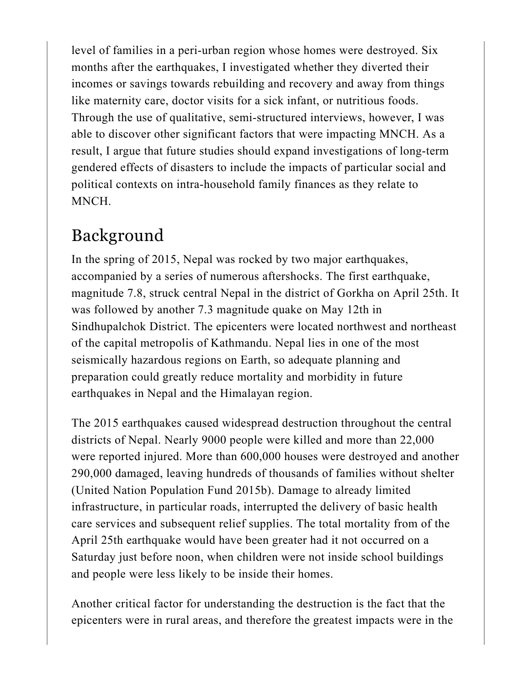level of families in a peri-urban region whose homes were destroyed. Six months after the earthquakes, I investigated whether they diverted their incomes or savings towards rebuilding and recovery and away from things like maternity care, doctor visits for a sick infant, or nutritious foods. Through the use of qualitative, semi-structured interviews, however, I was able to discover other significant factors that were impacting MNCH. As a result, I argue that future studies should expand investigations of long-term gendered effects of disasters to include the impacts of particular social and political contexts on intra-household family finances as they relate to MNCH.

# Background

In the spring of 2015, Nepal was rocked by two major earthquakes, accompanied by a series of numerous aftershocks. The first earthquake, magnitude 7.8, struck central Nepal in the district of Gorkha on April 25th. It was followed by another 7.3 magnitude quake on May 12th in Sindhupalchok District. The epicenters were located northwest and northeast of the capital metropolis of Kathmandu. Nepal lies in one of the most seismically hazardous regions on Earth, so adequate planning and preparation could greatly reduce mortality and morbidity in future earthquakes in Nepal and the Himalayan region.

The 2015 earthquakes caused widespread destruction throughout the central districts of Nepal. Nearly 9000 people were killed and more than 22,000 were reported injured. More than 600,000 houses were destroyed and another 290,000 damaged, leaving hundreds of thousands of families without shelter (United Nation Population Fund 2015b). Damage to already limited infrastructure, in particular roads, interrupted the delivery of basic health care services and subsequent relief supplies. The total mortality from of the April 25th earthquake would have been greater had it not occurred on a Saturday just before noon, when children were not inside school buildings and people were less likely to be inside their homes.

Another critical factor for understanding the destruction is the fact that the epicenters were in rural areas, and therefore the greatest impacts were in the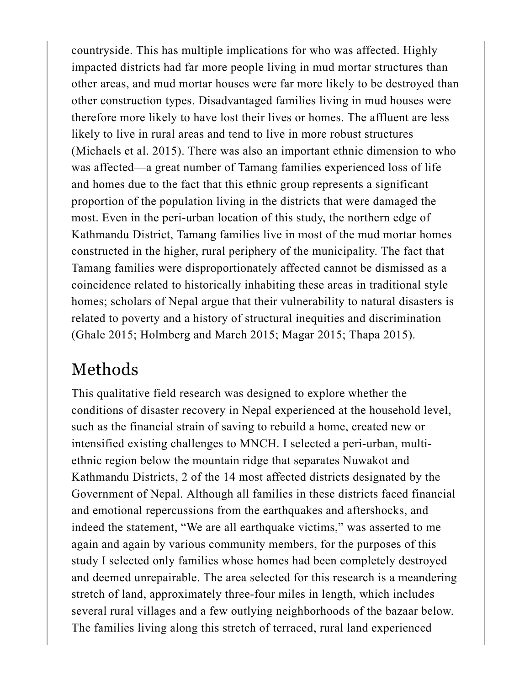countryside. This has multiple implications for who was affected. Highly impacted districts had far more people living in mud mortar structures than other areas, and mud mortar houses were far more likely to be destroyed than other construction types. Disadvantaged families living in mud houses were therefore more likely to have lost their lives or homes. The affluent are less likely to live in rural areas and tend to live in more robust structures (Michaels et al. 2015). There was also an important ethnic dimension to who was affected—a great number of Tamang families experienced loss of life and homes due to the fact that this ethnic group represents a significant proportion of the population living in the districts that were damaged the most. Even in the peri-urban location of this study, the northern edge of Kathmandu District, Tamang families live in most of the mud mortar homes constructed in the higher, rural periphery of the municipality. The fact that Tamang families were disproportionately affected cannot be dismissed as a coincidence related to historically inhabiting these areas in traditional style homes; scholars of Nepal argue that their vulnerability to natural disasters is related to poverty and a history of structural inequities and discrimination (Ghale 2015; Holmberg and March 2015; Magar 2015; Thapa 2015).

# Methods

This qualitative field research was designed to explore whether the conditions of disaster recovery in Nepal experienced at the household level, such as the financial strain of saving to rebuild a home, created new or intensified existing challenges to MNCH. I selected a peri-urban, multiethnic region below the mountain ridge that separates Nuwakot and Kathmandu Districts, 2 of the 14 most affected districts designated by the Government of Nepal. Although all families in these districts faced financial and emotional repercussions from the earthquakes and aftershocks, and indeed the statement, "We are all earthquake victims," was asserted to me again and again by various community members, for the purposes of this study I selected only families whose homes had been completely destroyed and deemed unrepairable. The area selected for this research is a meandering stretch of land, approximately three-four miles in length, which includes several rural villages and a few outlying neighborhoods of the bazaar below. The families living along this stretch of terraced, rural land experienced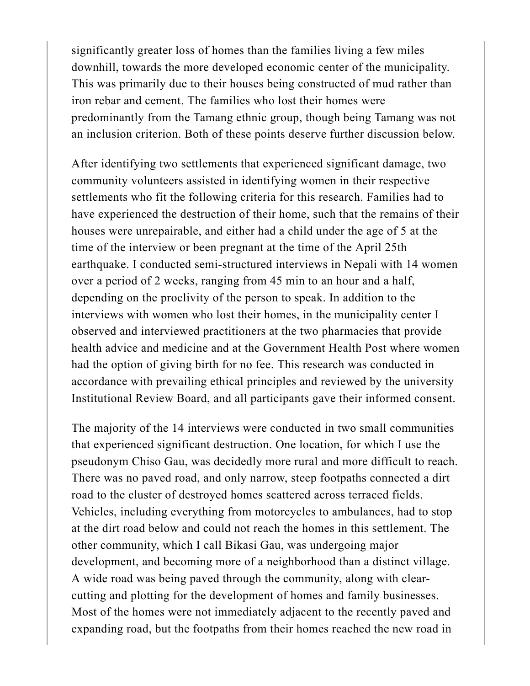significantly greater loss of homes than the families living a few miles downhill, towards the more developed economic center of the municipality. This was primarily due to their houses being constructed of mud rather than iron rebar and cement. The families who lost their homes were predominantly from the Tamang ethnic group, though being Tamang was not an inclusion criterion. Both of these points deserve further discussion below.

After identifying two settlements that experienced significant damage, two community volunteers assisted in identifying women in their respective settlements who fit the following criteria for this research. Families had to have experienced the destruction of their home, such that the remains of their houses were unrepairable, and either had a child under the age of 5 at the time of the interview or been pregnant at the time of the April 25th earthquake. I conducted semi-structured interviews in Nepali with 14 women over a period of 2 weeks, ranging from 45 min to an hour and a half, depending on the proclivity of the person to speak. In addition to the interviews with women who lost their homes, in the municipality center I observed and interviewed practitioners at the two pharmacies that provide health advice and medicine and at the Government Health Post where women had the option of giving birth for no fee. This research was conducted in accordance with prevailing ethical principles and reviewed by the university Institutional Review Board, and all participants gave their informed consent.

The majority of the 14 interviews were conducted in two small communities that experienced significant destruction. One location, for which I use the pseudonym Chiso Gau, was decidedly more rural and more difficult to reach. There was no paved road, and only narrow, steep footpaths connected a dirt road to the cluster of destroyed homes scattered across terraced fields. Vehicles, including everything from motorcycles to ambulances, had to stop at the dirt road below and could not reach the homes in this settlement. The other community, which I call Bikasi Gau, was undergoing major development, and becoming more of a neighborhood than a distinct village. A wide road was being paved through the community, along with clearcutting and plotting for the development of homes and family businesses. Most of the homes were not immediately adjacent to the recently paved and expanding road, but the footpaths from their homes reached the new road in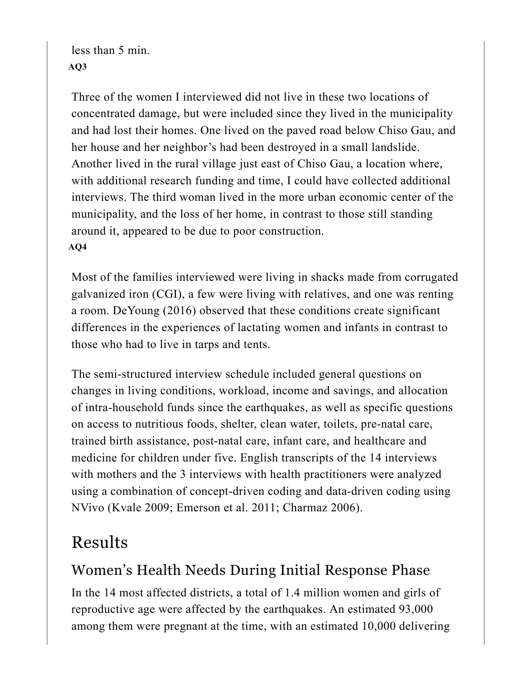less than 5 min. **AQ3**

Three of the women I interviewed did not live in these two locations of concentrated damage, but were included since they lived in the municipality and had lost their homes. One lived on the paved road below Chiso Gau, and her house and her neighbor's had been destroyed in a small landslide. Another lived in the rural village just east of Chiso Gau, a location where, with additional research funding and time, I could have collected additional interviews. The third woman lived in the more urban economic center of the municipality, and the loss of her home, in contrast to those still standing around it, appeared to be due to poor construction. **AQ4**

Most of the families interviewed were living in shacks made from corrugated galvanized iron (CGI), a few were living with relatives, and one was renting a room. DeYoung (2016) observed that these conditions create significant differences in the experiences of lactating women and infants in contrast to those who had to live in tarps and tents.

The semi-structured interview schedule included general questions on changes in living conditions, workload, income and savings, and allocation of intra-household funds since the earthquakes, as well as specific questions on access to nutritious foods, shelter, clean water, toilets, pre-natal care, trained birth assistance, post-natal care, infant care, and healthcare and medicine for children under five. English transcripts of the 14 interviews with mothers and the 3 interviews with health practitioners were analyzed using a combination of concept-driven coding and data-driven coding using NVivo (Kvale 2009; Emerson et al. 2011; Charmaz 2006).

# Results

### Women's Health Needs During Initial Response Phase

In the 14 most affected districts, a total of 1.4 million women and girls of reproductive age were affected by the earthquakes. An estimated 93,000 among them were pregnant at the time, with an estimated 10,000 delivering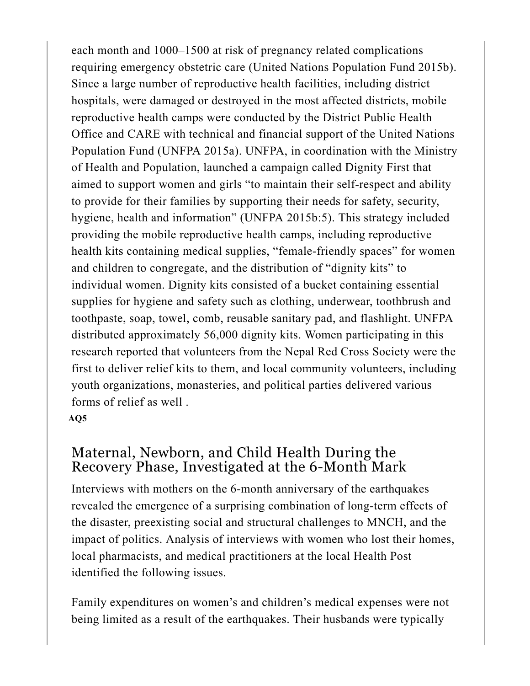each month and 1000–1500 at risk of pregnancy related complications requiring emergency obstetric care (United Nations Population Fund 2015b). Since a large number of reproductive health facilities, including district hospitals, were damaged or destroyed in the most affected districts, mobile reproductive health camps were conducted by the District Public Health Office and CARE with technical and financial support of the United Nations Population Fund (UNFPA 2015a). UNFPA, in coordination with the Ministry of Health and Population, launched a campaign called Dignity First that aimed to support women and girls "to maintain their self-respect and ability to provide for their families by supporting their needs for safety, security, hygiene, health and information" (UNFPA 2015b:5). This strategy included providing the mobile reproductive health camps, including reproductive health kits containing medical supplies, "female-friendly spaces" for women and children to congregate, and the distribution of "dignity kits" to individual women. Dignity kits consisted of a bucket containing essential supplies for hygiene and safety such as clothing, underwear, toothbrush and toothpaste, soap, towel, comb, reusable sanitary pad, and flashlight. UNFPA distributed approximately 56,000 dignity kits. Women participating in this research reported that volunteers from the Nepal Red Cross Society were the first to deliver relief kits to them, and local community volunteers, including youth organizations, monasteries, and political parties delivered various forms of relief as well .

#### **AQ5**

#### Maternal, Newborn, and Child Health During the Recovery Phase, Investigated at the 6-Month Mark

Interviews with mothers on the 6-month anniversary of the earthquakes revealed the emergence of a surprising combination of long-term effects of the disaster, preexisting social and structural challenges to MNCH, and the impact of politics. Analysis of interviews with women who lost their homes, local pharmacists, and medical practitioners at the local Health Post identified the following issues.

Family expenditures on women's and children's medical expenses were not being limited as a result of the earthquakes. Their husbands were typically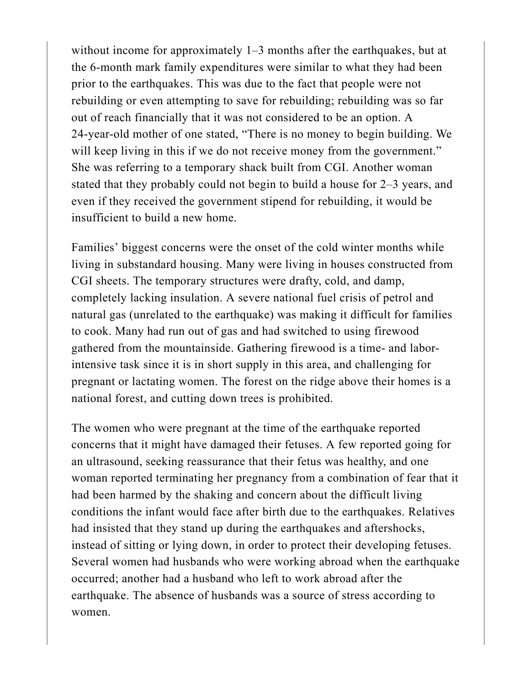without income for approximately 1–3 months after the earthquakes, but at the 6-month mark family expenditures were similar to what they had been prior to the earthquakes. This was due to the fact that people were not rebuilding or even attempting to save for rebuilding; rebuilding was so far out of reach financially that it was not considered to be an option. A 24-year-old mother of one stated, "There is no money to begin building. We will keep living in this if we do not receive money from the government." She was referring to a temporary shack built from CGI. Another woman stated that they probably could not begin to build a house for 2–3 years, and even if they received the government stipend for rebuilding, it would be insufficient to build a new home.

Families' biggest concerns were the onset of the cold winter months while living in substandard housing. Many were living in houses constructed from CGI sheets. The temporary structures were drafty, cold, and damp, completely lacking insulation. A severe national fuel crisis of petrol and natural gas (unrelated to the earthquake) was making it difficult for families to cook. Many had run out of gas and had switched to using firewood gathered from the mountainside. Gathering firewood is a time- and laborintensive task since it is in short supply in this area, and challenging for pregnant or lactating women. The forest on the ridge above their homes is a national forest, and cutting down trees is prohibited.

The women who were pregnant at the time of the earthquake reported concerns that it might have damaged their fetuses. A few reported going for an ultrasound, seeking reassurance that their fetus was healthy, and one woman reported terminating her pregnancy from a combination of fear that it had been harmed by the shaking and concern about the difficult living conditions the infant would face after birth due to the earthquakes. Relatives had insisted that they stand up during the earthquakes and aftershocks, instead of sitting or lying down, in order to protect their developing fetuses. Several women had husbands who were working abroad when the earthquake occurred; another had a husband who left to work abroad after the earthquake. The absence of husbands was a source of stress according to women.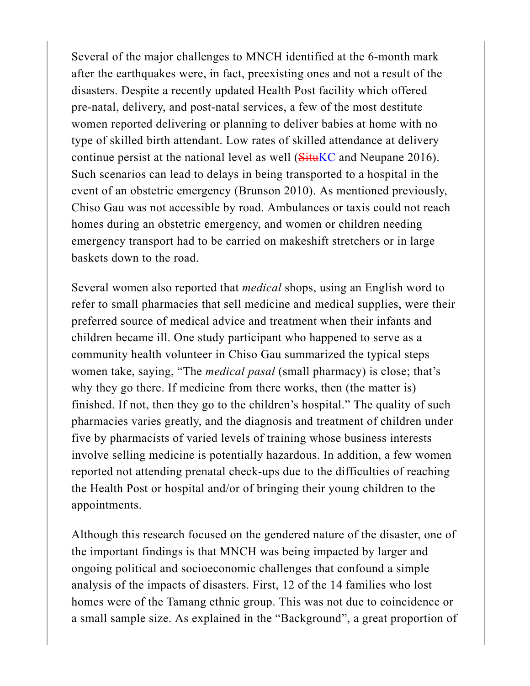Several of the major challenges to MNCH identified at the 6-month mark after the earthquakes were, in fact, preexisting ones and not a result of the disasters. Despite a recently updated Health Post facility which offered pre-natal, delivery, and post-natal services, a few of the most destitute women reported delivering or planning to deliver babies at home with no type of skilled birth attendant. Low rates of skilled attendance at delivery continue persist at the national level as well (SituKC and Neupane 2016). Such scenarios can lead to delays in being transported to a hospital in the event of an obstetric emergency (Brunson 2010). As mentioned previously, Chiso Gau was not accessible by road. Ambulances or taxis could not reach homes during an obstetric emergency, and women or children needing emergency transport had to be carried on makeshift stretchers or in large baskets down to the road.

Several women also reported that *medical* shops, using an English word to refer to small pharmacies that sell medicine and medical supplies, were their preferred source of medical advice and treatment when their infants and children became ill. One study participant who happened to serve as a community health volunteer in Chiso Gau summarized the typical steps women take, saying, "The *medical pasal* (small pharmacy) is close; that's why they go there. If medicine from there works, then (the matter is) finished. If not, then they go to the children's hospital." The quality of such pharmacies varies greatly, and the diagnosis and treatment of children under five by pharmacists of varied levels of training whose business interests involve selling medicine is potentially hazardous. In addition, a few women reported not attending prenatal check-ups due to the difficulties of reaching the Health Post or hospital and/or of bringing their young children to the appointments.

Although this research focused on the gendered nature of the disaster, one of the important findings is that MNCH was being impacted by larger and ongoing political and socioeconomic challenges that confound a simple analysis of the impacts of disasters. First, 12 of the 14 families who lost homes were of the Tamang ethnic group. This was not due to coincidence or a small sample size. As explained in the "Background", a great proportion of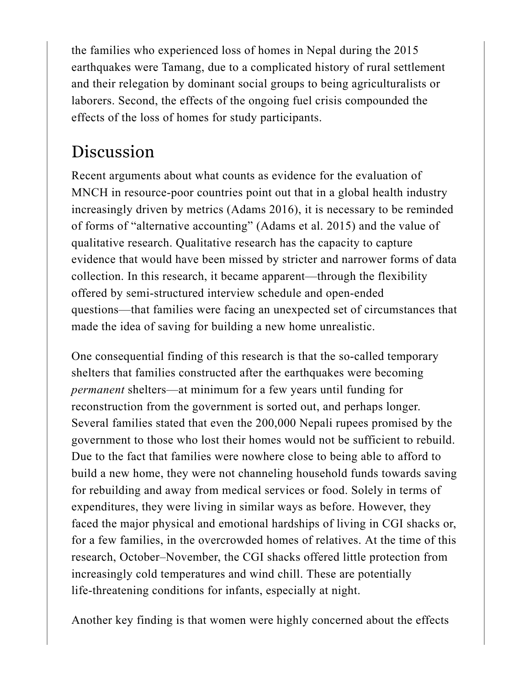the families who experienced loss of homes in Nepal during the 2015 earthquakes were Tamang, due to a complicated history of rural settlement and their relegation by dominant social groups to being agriculturalists or laborers. Second, the effects of the ongoing fuel crisis compounded the effects of the loss of homes for study participants.

## Discussion

Recent arguments about what counts as evidence for the evaluation of MNCH in resource-poor countries point out that in a global health industry increasingly driven by metrics (Adams 2016), it is necessary to be reminded of forms of "alternative accounting" (Adams et al. 2015) and the value of qualitative research. Qualitative research has the capacity to capture evidence that would have been missed by stricter and narrower forms of data collection. In this research, it became apparent—through the flexibility offered by semi-structured interview schedule and open-ended questions—that families were facing an unexpected set of circumstances that made the idea of saving for building a new home unrealistic.

One consequential finding of this research is that the so-called temporary shelters that families constructed after the earthquakes were becoming *permanent* shelters—at minimum for a few years until funding for reconstruction from the government is sorted out, and perhaps longer. Several families stated that even the 200,000 Nepali rupees promised by the government to those who lost their homes would not be sufficient to rebuild. Due to the fact that families were nowhere close to being able to afford to build a new home, they were not channeling household funds towards saving for rebuilding and away from medical services or food. Solely in terms of expenditures, they were living in similar ways as before. However, they faced the major physical and emotional hardships of living in CGI shacks or, for a few families, in the overcrowded homes of relatives. At the time of this research, October–November, the CGI shacks offered little protection from increasingly cold temperatures and wind chill. These are potentially life-threatening conditions for infants, especially at night.

Another key finding is that women were highly concerned about the effects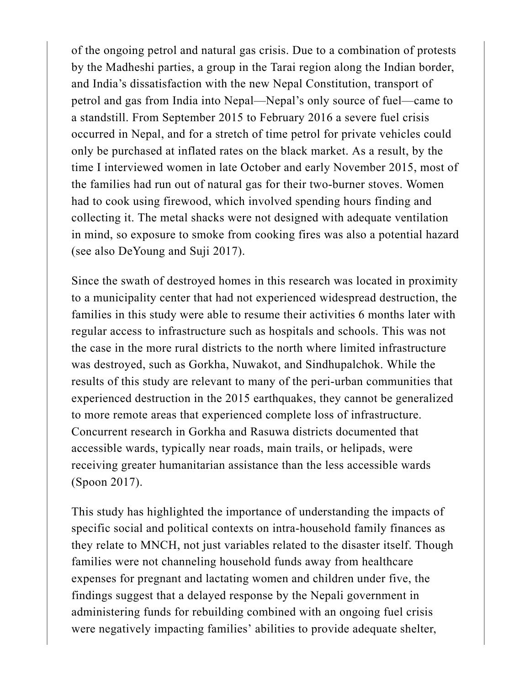of the ongoing petrol and natural gas crisis. Due to a combination of protests by the Madheshi parties, a group in the Tarai region along the Indian border, and India's dissatisfaction with the new Nepal Constitution, transport of petrol and gas from India into Nepal—Nepal's only source of fuel—came to a standstill. From September 2015 to February 2016 a severe fuel crisis occurred in Nepal, and for a stretch of time petrol for private vehicles could only be purchased at inflated rates on the black market. As a result, by the time I interviewed women in late October and early November 2015, most of the families had run out of natural gas for their two-burner stoves. Women had to cook using firewood, which involved spending hours finding and collecting it. The metal shacks were not designed with adequate ventilation in mind, so exposure to smoke from cooking fires was also a potential hazard (see also DeYoung and Suji 2017).

Since the swath of destroyed homes in this research was located in proximity to a municipality center that had not experienced widespread destruction, the families in this study were able to resume their activities 6 months later with regular access to infrastructure such as hospitals and schools. This was not the case in the more rural districts to the north where limited infrastructure was destroyed, such as Gorkha, Nuwakot, and Sindhupalchok. While the results of this study are relevant to many of the peri-urban communities that experienced destruction in the 2015 earthquakes, they cannot be generalized to more remote areas that experienced complete loss of infrastructure. Concurrent research in Gorkha and Rasuwa districts documented that accessible wards, typically near roads, main trails, or helipads, were receiving greater humanitarian assistance than the less accessible wards (Spoon 2017).

This study has highlighted the importance of understanding the impacts of specific social and political contexts on intra-household family finances as they relate to MNCH, not just variables related to the disaster itself. Though families were not channeling household funds away from healthcare expenses for pregnant and lactating women and children under five, the findings suggest that a delayed response by the Nepali government in administering funds for rebuilding combined with an ongoing fuel crisis were negatively impacting families' abilities to provide adequate shelter,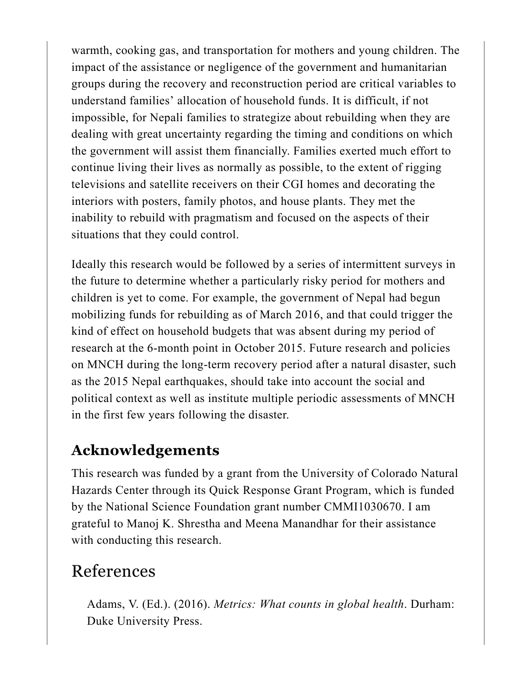warmth, cooking gas, and transportation for mothers and young children. The impact of the assistance or negligence of the government and humanitarian groups during the recovery and reconstruction period are critical variables to understand families' allocation of household funds. It is difficult, if not impossible, for Nepali families to strategize about rebuilding when they are dealing with great uncertainty regarding the timing and conditions on which the government will assist them financially. Families exerted much effort to continue living their lives as normally as possible, to the extent of rigging televisions and satellite receivers on their CGI homes and decorating the interiors with posters, family photos, and house plants. They met the inability to rebuild with pragmatism and focused on the aspects of their situations that they could control.

Ideally this research would be followed by a series of intermittent surveys in the future to determine whether a particularly risky period for mothers and children is yet to come. For example, the government of Nepal had begun mobilizing funds for rebuilding as of March 2016, and that could trigger the kind of effect on household budgets that was absent during my period of research at the 6-month point in October 2015. Future research and policies on MNCH during the long-term recovery period after a natural disaster, such as the 2015 Nepal earthquakes, should take into account the social and political context as well as institute multiple periodic assessments of MNCH in the first few years following the disaster.

#### **Acknowledgements**

This research was funded by a grant from the University of Colorado Natural Hazards Center through its Quick Response Grant Program, which is funded by the National Science Foundation grant number CMMI1030670. I am grateful to Manoj K. Shrestha and Meena Manandhar for their assistance with conducting this research.

### References

Adams, V. (Ed.). (2016). *Metrics: What counts in global health*. Durham: Duke University Press.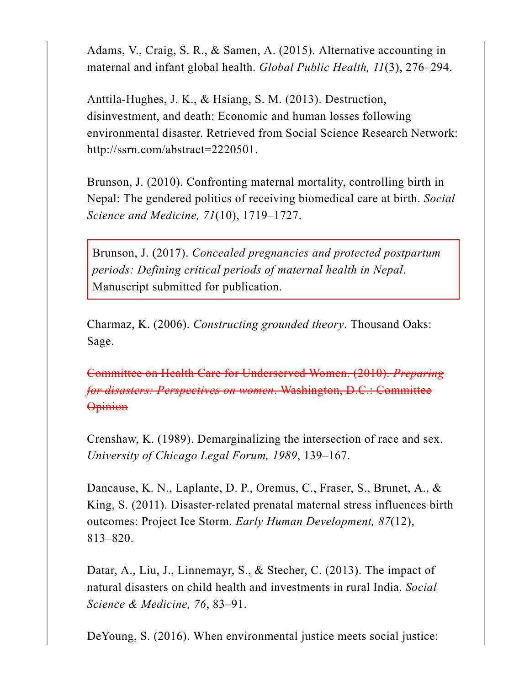Adams, V., Craig, S. R., & Samen, A. (2015). Alternative accounting in maternal and infant global health. *Global Public Health, 11*(3), 276–294.

Anttila-Hughes, J. K., & Hsiang, S. M. (2013). Destruction, disinvestment, and death: Economic and human losses following environmental disaster. Retrieved from Social Science Research Network: http://ssrn.com/abstract=2220501.

Brunson, J. (2010). Confronting maternal mortality, controlling birth in Nepal: The gendered politics of receiving biomedical care at birth. *Social Science and Medicine, 71*(10), 1719–1727.

Brunson, J. (2017). *Concealed pregnancies and protected postpartum periods: Defining critical periods of maternal health in Nepal*. Manuscript submitted for publication.

Charmaz, K. (2006). *Constructing grounded theory*. Thousand Oaks: Sage.

Committee on Health Care for Underserved Women. (2010). *Preparing for disasters: Perspectives on women*. Washington, D.C.: Committee **Opinion** 

Crenshaw, K. (1989). Demarginalizing the intersection of race and sex. *University of Chicago Legal Forum, 1989*, 139–167.

Dancause, K. N., Laplante, D. P., Oremus, C., Fraser, S., Brunet, A., & King, S. (2011). Disaster-related prenatal maternal stress influences birth outcomes: Project Ice Storm. *Early Human Development, 87*(12), 813–820.

Datar, A., Liu, J., Linnemayr, S., & Stecher, C. (2013). The impact of natural disasters on child health and investments in rural India. *Social Science & Medicine, 76*, 83–91.

DeYoung, S. (2016). When environmental justice meets social justice: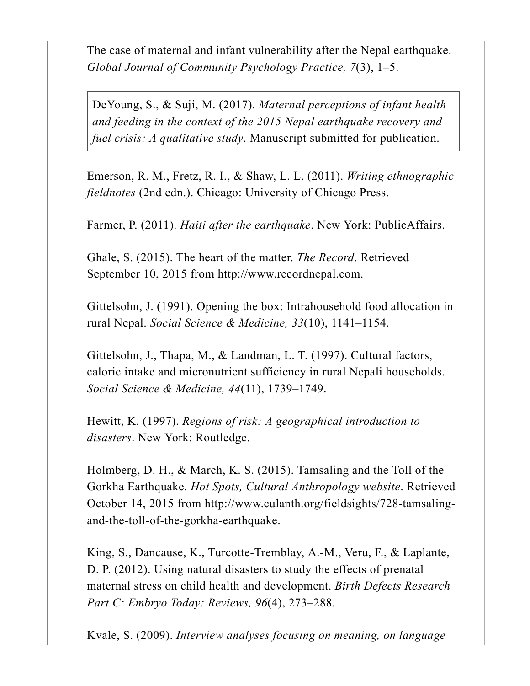The case of maternal and infant vulnerability after the Nepal earthquake. *Global Journal of Community Psychology Practice, 7*(3), 1–5.

DeYoung, S., & Suji, M. (2017). *Maternal perceptions of infant health and feeding in the context of the 2015 Nepal earthquake recovery and fuel crisis: A qualitative study*. Manuscript submitted for publication.

Emerson, R. M., Fretz, R. I., & Shaw, L. L. (2011). *Writing ethnographic fieldnotes* (2nd edn.). Chicago: University of Chicago Press.

Farmer, P. (2011). *Haiti after the earthquake*. New York: PublicAffairs.

Ghale, S. (2015). The heart of the matter. *The Record*. Retrieved September 10, 2015 from http://www.recordnepal.com.

Gittelsohn, J. (1991). Opening the box: Intrahousehold food allocation in rural Nepal. *Social Science & Medicine, 33*(10), 1141–1154.

Gittelsohn, J., Thapa, M., & Landman, L. T. (1997). Cultural factors, caloric intake and micronutrient sufficiency in rural Nepali households. *Social Science & Medicine, 44*(11), 1739–1749.

Hewitt, K. (1997). *Regions of risk: A geographical introduction to disasters*. New York: Routledge.

Holmberg, D. H., & March, K. S. (2015). Tamsaling and the Toll of the Gorkha Earthquake. *Hot Spots, Cultural Anthropology website*. Retrieved October 14, 2015 from http://www.culanth.org/fieldsights/728-tamsalingand-the-toll-of-the-gorkha-earthquake.

King, S., Dancause, K., Turcotte-Tremblay, A.-M., Veru, F., & Laplante, D. P. (2012). Using natural disasters to study the effects of prenatal maternal stress on child health and development. *Birth Defects Research Part C: Embryo Today: Reviews, 96*(4), 273–288.

Kvale, S. (2009). *Interview analyses focusing on meaning, on language*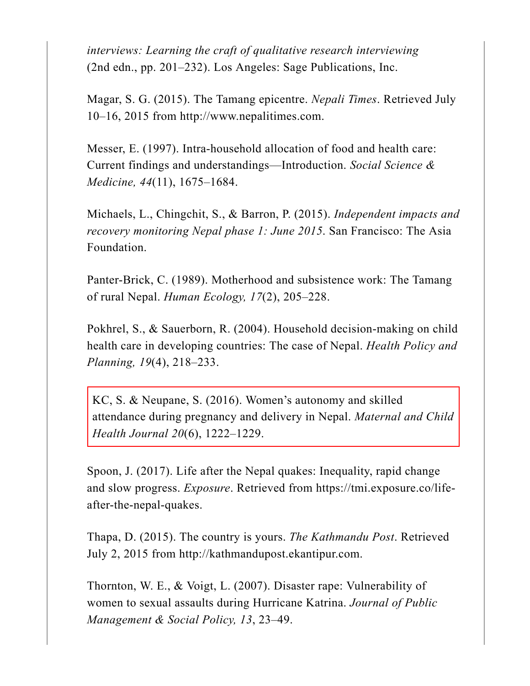*interviews: Learning the craft of qualitative research interviewing* (2nd edn., pp. 201–232). Los Angeles: Sage Publications, Inc.

Magar, S. G. (2015). The Tamang epicentre. *Nepali Times*. Retrieved July 10–16, 2015 from http://www.nepalitimes.com.

Messer, E. (1997). Intra-household allocation of food and health care: Current findings and understandings—Introduction. *Social Science & Medicine, 44*(11), 1675–1684.

Michaels, L., Chingchit, S., & Barron, P. (2015). *Independent impacts and recovery monitoring Nepal phase 1: June 2015*. San Francisco: The Asia Foundation.

Panter-Brick, C. (1989). Motherhood and subsistence work: The Tamang of rural Nepal. *Human Ecology, 17*(2), 205–228.

Pokhrel, S., & Sauerborn, R. (2004). Household decision-making on child health care in developing countries: The case of Nepal. *Health Policy and Planning, 19*(4), 218–233.

KC, S. & Neupane, S. (2016). Women's autonomy and skilled attendance during pregnancy and delivery in Nepal. *Maternal and Child Health Journal 20*(6), 1222–1229.

Spoon, J. (2017). Life after the Nepal quakes: Inequality, rapid change and slow progress. *Exposure*. Retrieved from https://tmi.exposure.co/lifeafter-the-nepal-quakes.

Thapa, D. (2015). The country is yours. *The Kathmandu Post*. Retrieved July 2, 2015 from http://kathmandupost.ekantipur.com.

Thornton, W. E., & Voigt, L. (2007). Disaster rape: Vulnerability of women to sexual assaults during Hurricane Katrina. *Journal of Public Management & Social Policy, 13*, 23–49.